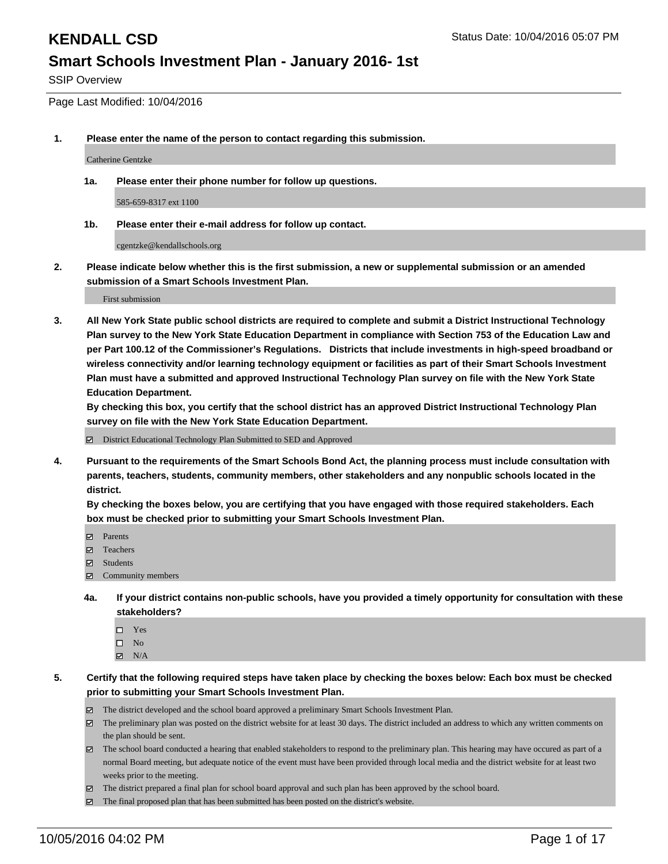SSIP Overview

Page Last Modified: 10/04/2016

**1. Please enter the name of the person to contact regarding this submission.**

Catherine Gentzke

**1a. Please enter their phone number for follow up questions.**

585-659-8317 ext 1100

**1b. Please enter their e-mail address for follow up contact.**

cgentzke@kendallschools.org

**2. Please indicate below whether this is the first submission, a new or supplemental submission or an amended submission of a Smart Schools Investment Plan.**

First submission

**3. All New York State public school districts are required to complete and submit a District Instructional Technology Plan survey to the New York State Education Department in compliance with Section 753 of the Education Law and per Part 100.12 of the Commissioner's Regulations. Districts that include investments in high-speed broadband or wireless connectivity and/or learning technology equipment or facilities as part of their Smart Schools Investment Plan must have a submitted and approved Instructional Technology Plan survey on file with the New York State Education Department.** 

**By checking this box, you certify that the school district has an approved District Instructional Technology Plan survey on file with the New York State Education Department.**

District Educational Technology Plan Submitted to SED and Approved

**4. Pursuant to the requirements of the Smart Schools Bond Act, the planning process must include consultation with parents, teachers, students, community members, other stakeholders and any nonpublic schools located in the district.** 

**By checking the boxes below, you are certifying that you have engaged with those required stakeholders. Each box must be checked prior to submitting your Smart Schools Investment Plan.**

- Parents
- Teachers
- **☑** Students
- Community members
- **4a. If your district contains non-public schools, have you provided a timely opportunity for consultation with these stakeholders?**
	- $\Box$  Yes  $\square$  No
	- $\boxtimes$  N/A
- **5. Certify that the following required steps have taken place by checking the boxes below: Each box must be checked prior to submitting your Smart Schools Investment Plan.**
	- The district developed and the school board approved a preliminary Smart Schools Investment Plan.
	- The preliminary plan was posted on the district website for at least 30 days. The district included an address to which any written comments on the plan should be sent.
	- The school board conducted a hearing that enabled stakeholders to respond to the preliminary plan. This hearing may have occured as part of a normal Board meeting, but adequate notice of the event must have been provided through local media and the district website for at least two weeks prior to the meeting.
	- The district prepared a final plan for school board approval and such plan has been approved by the school board.
	- $\boxtimes$  The final proposed plan that has been submitted has been posted on the district's website.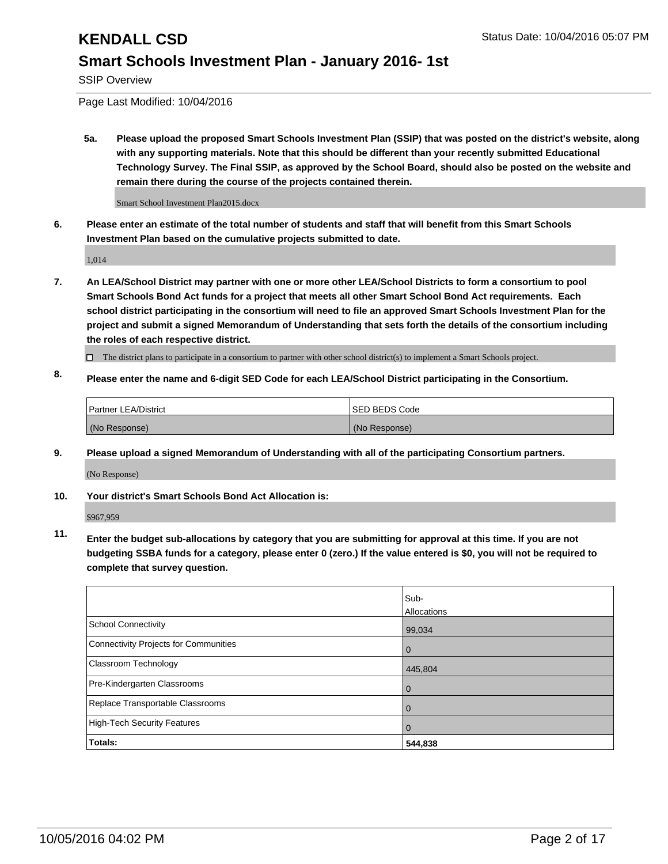SSIP Overview

Page Last Modified: 10/04/2016

**5a. Please upload the proposed Smart Schools Investment Plan (SSIP) that was posted on the district's website, along with any supporting materials. Note that this should be different than your recently submitted Educational Technology Survey. The Final SSIP, as approved by the School Board, should also be posted on the website and remain there during the course of the projects contained therein.**

Smart School Investment Plan2015.docx

**6. Please enter an estimate of the total number of students and staff that will benefit from this Smart Schools Investment Plan based on the cumulative projects submitted to date.**

1,014

- **7. An LEA/School District may partner with one or more other LEA/School Districts to form a consortium to pool Smart Schools Bond Act funds for a project that meets all other Smart School Bond Act requirements. Each school district participating in the consortium will need to file an approved Smart Schools Investment Plan for the project and submit a signed Memorandum of Understanding that sets forth the details of the consortium including the roles of each respective district.**
	- $\Box$  The district plans to participate in a consortium to partner with other school district(s) to implement a Smart Schools project.
- **8. Please enter the name and 6-digit SED Code for each LEA/School District participating in the Consortium.**

| <b>Partner LEA/District</b> | ISED BEDS Code |
|-----------------------------|----------------|
| (No Response)               | (No Response)  |

**9. Please upload a signed Memorandum of Understanding with all of the participating Consortium partners.**

(No Response)

### **10. Your district's Smart Schools Bond Act Allocation is:**

\$967,959

**11. Enter the budget sub-allocations by category that you are submitting for approval at this time. If you are not budgeting SSBA funds for a category, please enter 0 (zero.) If the value entered is \$0, you will not be required to complete that survey question.**

|                                       | Sub-<br>Allocations |
|---------------------------------------|---------------------|
| <b>School Connectivity</b>            | 99,034              |
| Connectivity Projects for Communities | $\Omega$            |
| <b>Classroom Technology</b>           | 445,804             |
| Pre-Kindergarten Classrooms           | $\Omega$            |
| Replace Transportable Classrooms      | $\Omega$            |
| High-Tech Security Features           | $\Omega$            |
| Totals:                               | 544,838             |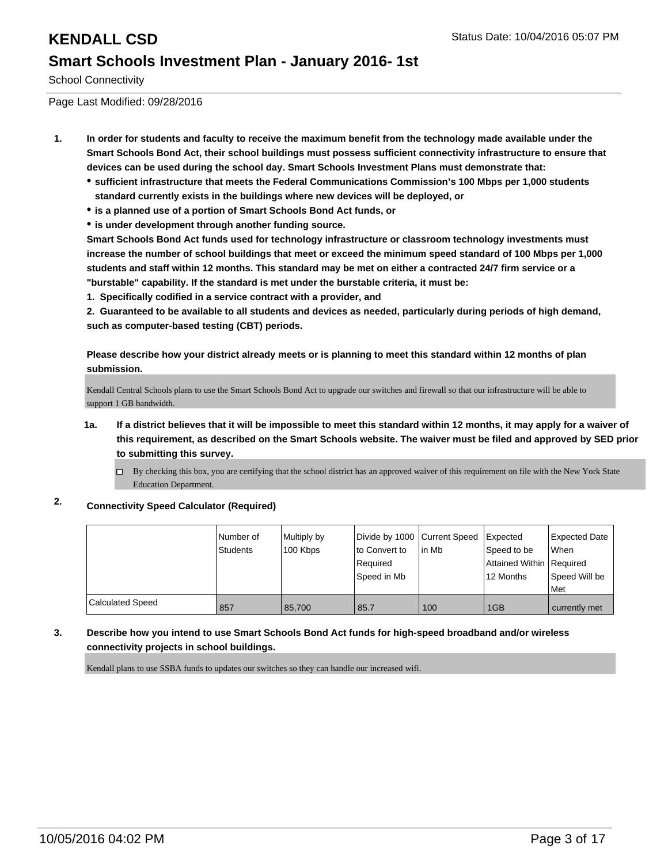School Connectivity

Page Last Modified: 09/28/2016

- **1. In order for students and faculty to receive the maximum benefit from the technology made available under the Smart Schools Bond Act, their school buildings must possess sufficient connectivity infrastructure to ensure that devices can be used during the school day. Smart Schools Investment Plans must demonstrate that:**
	- **sufficient infrastructure that meets the Federal Communications Commission's 100 Mbps per 1,000 students standard currently exists in the buildings where new devices will be deployed, or**
	- **is a planned use of a portion of Smart Schools Bond Act funds, or**
	- **is under development through another funding source.**

**Smart Schools Bond Act funds used for technology infrastructure or classroom technology investments must increase the number of school buildings that meet or exceed the minimum speed standard of 100 Mbps per 1,000 students and staff within 12 months. This standard may be met on either a contracted 24/7 firm service or a "burstable" capability. If the standard is met under the burstable criteria, it must be:**

**1. Specifically codified in a service contract with a provider, and**

**2. Guaranteed to be available to all students and devices as needed, particularly during periods of high demand, such as computer-based testing (CBT) periods.**

**Please describe how your district already meets or is planning to meet this standard within 12 months of plan submission.**

Kendall Central Schools plans to use the Smart Schools Bond Act to upgrade our switches and firewall so that our infrastructure will be able to support 1 GB bandwidth.

- **1a. If a district believes that it will be impossible to meet this standard within 12 months, it may apply for a waiver of this requirement, as described on the Smart Schools website. The waiver must be filed and approved by SED prior to submitting this survey.**
	- $\Box$  By checking this box, you are certifying that the school district has an approved waiver of this requirement on file with the New York State Education Department.

### **2. Connectivity Speed Calculator (Required)**

|                         | Number of<br>Students | Multiply by<br>100 Kbps | Divide by 1000 Current Speed<br>lto Convert to<br>Reauired<br>Speed in Mb | lin Mb | Expected<br>Speed to be<br>Attained Within   Required<br>12 Months | Expected Date<br>When<br>Speed Will be<br>l Met |
|-------------------------|-----------------------|-------------------------|---------------------------------------------------------------------------|--------|--------------------------------------------------------------------|-------------------------------------------------|
| <b>Calculated Speed</b> | 857                   | 85,700                  | 85.7                                                                      | 100    | 1GB                                                                | currently met                                   |

### **3. Describe how you intend to use Smart Schools Bond Act funds for high-speed broadband and/or wireless connectivity projects in school buildings.**

Kendall plans to use SSBA funds to updates our switches so they can handle our increased wifi.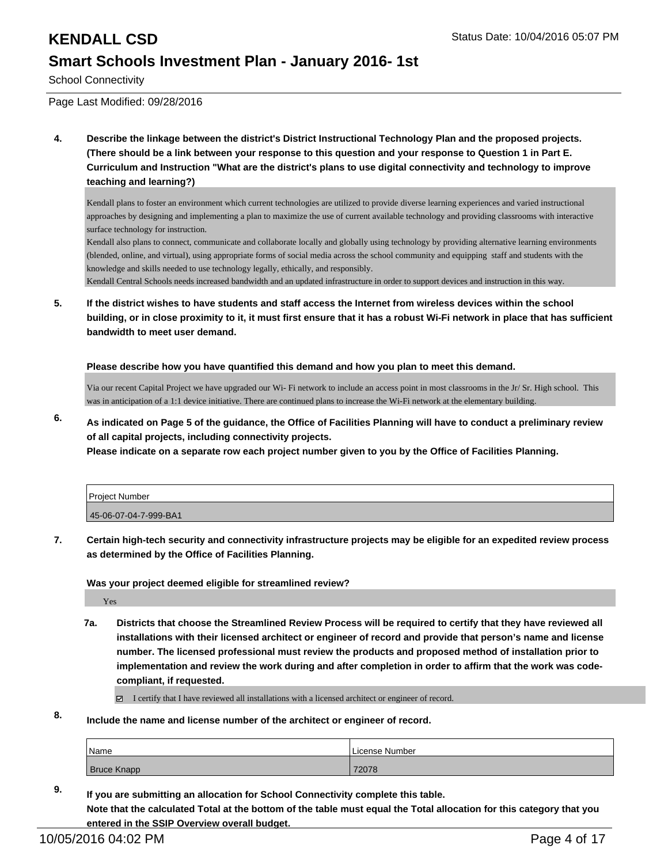School Connectivity

Page Last Modified: 09/28/2016

**4. Describe the linkage between the district's District Instructional Technology Plan and the proposed projects. (There should be a link between your response to this question and your response to Question 1 in Part E. Curriculum and Instruction "What are the district's plans to use digital connectivity and technology to improve teaching and learning?)**

Kendall plans to foster an environment which current technologies are utilized to provide diverse learning experiences and varied instructional approaches by designing and implementing a plan to maximize the use of current available technology and providing classrooms with interactive surface technology for instruction.

Kendall also plans to connect, communicate and collaborate locally and globally using technology by providing alternative learning environments (blended, online, and virtual), using appropriate forms of social media across the school community and equipping staff and students with the knowledge and skills needed to use technology legally, ethically, and responsibly.

Kendall Central Schools needs increased bandwidth and an updated infrastructure in order to support devices and instruction in this way.

**5. If the district wishes to have students and staff access the Internet from wireless devices within the school building, or in close proximity to it, it must first ensure that it has a robust Wi-Fi network in place that has sufficient bandwidth to meet user demand.**

**Please describe how you have quantified this demand and how you plan to meet this demand.**

Via our recent Capital Project we have upgraded our Wi- Fi network to include an access point in most classrooms in the Jr/ Sr. High school. This was in anticipation of a 1:1 device initiative. There are continued plans to increase the Wi-Fi network at the elementary building.

**6. As indicated on Page 5 of the guidance, the Office of Facilities Planning will have to conduct a preliminary review of all capital projects, including connectivity projects.**

**Please indicate on a separate row each project number given to you by the Office of Facilities Planning.**

| Project Number        |  |
|-----------------------|--|
| 45-06-07-04-7-999-BA1 |  |

**7. Certain high-tech security and connectivity infrastructure projects may be eligible for an expedited review process as determined by the Office of Facilities Planning.**

**Was your project deemed eligible for streamlined review?**

Yes

**7a. Districts that choose the Streamlined Review Process will be required to certify that they have reviewed all installations with their licensed architect or engineer of record and provide that person's name and license number. The licensed professional must review the products and proposed method of installation prior to implementation and review the work during and after completion in order to affirm that the work was codecompliant, if requested.**

I certify that I have reviewed all installations with a licensed architect or engineer of record.

**8. Include the name and license number of the architect or engineer of record.**

| Name               | l License Number |
|--------------------|------------------|
| <b>Bruce Knapp</b> | 72078            |

**9. If you are submitting an allocation for School Connectivity complete this table. Note that the calculated Total at the bottom of the table must equal the Total allocation for this category that you entered in the SSIP Overview overall budget.**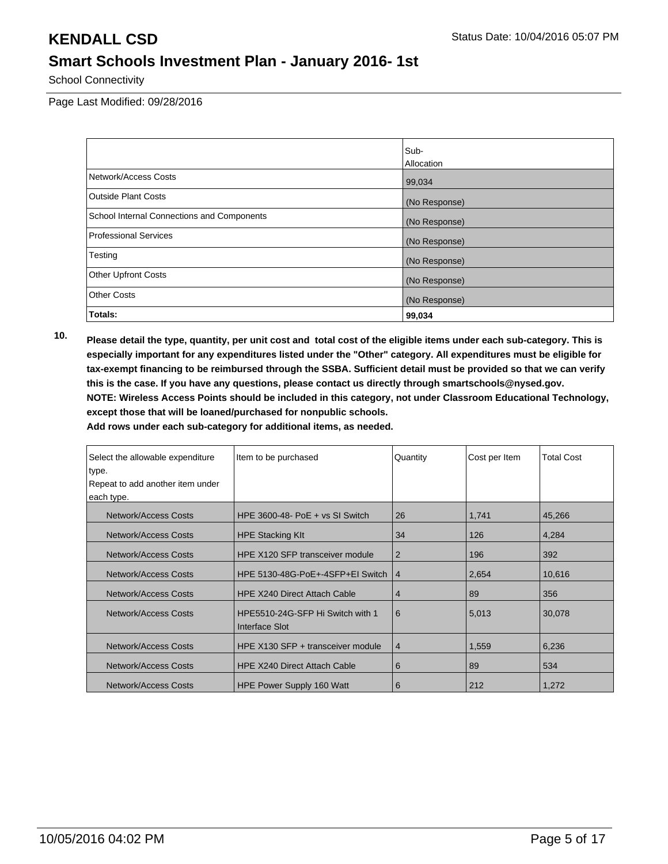School Connectivity

Page Last Modified: 09/28/2016

|                                            | Sub-          |
|--------------------------------------------|---------------|
|                                            | Allocation    |
| Network/Access Costs                       | 99,034        |
| <b>Outside Plant Costs</b>                 | (No Response) |
| School Internal Connections and Components | (No Response) |
| <b>Professional Services</b>               | (No Response) |
| Testing                                    | (No Response) |
| <b>Other Upfront Costs</b>                 | (No Response) |
| <b>Other Costs</b>                         | (No Response) |
| Totals:                                    | 99,034        |

**10. Please detail the type, quantity, per unit cost and total cost of the eligible items under each sub-category. This is especially important for any expenditures listed under the "Other" category. All expenditures must be eligible for tax-exempt financing to be reimbursed through the SSBA. Sufficient detail must be provided so that we can verify this is the case. If you have any questions, please contact us directly through smartschools@nysed.gov. NOTE: Wireless Access Points should be included in this category, not under Classroom Educational Technology, except those that will be loaned/purchased for nonpublic schools.**

| Select the allowable expenditure | Item to be purchased                               | Quantity       | Cost per Item | <b>Total Cost</b> |
|----------------------------------|----------------------------------------------------|----------------|---------------|-------------------|
| type.                            |                                                    |                |               |                   |
| Repeat to add another item under |                                                    |                |               |                   |
| each type.                       |                                                    |                |               |                   |
| <b>Network/Access Costs</b>      | HPE $3600-48 - PoE + vs SI$ Switch                 | 26             | 1,741         | 45,266            |
| <b>Network/Access Costs</b>      | <b>HPE Stacking KIt</b>                            | 34             | 126           | 4,284             |
| <b>Network/Access Costs</b>      | HPE X120 SFP transceiver module                    | $\overline{2}$ | 196           | 392               |
| <b>Network/Access Costs</b>      | HPE 5130-48G-PoE+-4SFP+EI Switch                   | $\overline{4}$ | 2,654         | 10,616            |
| <b>Network/Access Costs</b>      | <b>HPE X240 Direct Attach Cable</b>                | $\overline{4}$ | 89            | 356               |
| <b>Network/Access Costs</b>      | HPE5510-24G-SFP Hi Switch with 1<br>Interface Slot | 6              | 5,013         | 30,078            |
| <b>Network/Access Costs</b>      | HPE X130 SFP + transceiver module                  | $\overline{4}$ | 1,559         | 6,236             |
| <b>Network/Access Costs</b>      | <b>HPE X240 Direct Attach Cable</b>                | 6              | 89            | 534               |
| <b>Network/Access Costs</b>      | <b>HPE Power Supply 160 Watt</b>                   | 6              | 212           | 1,272             |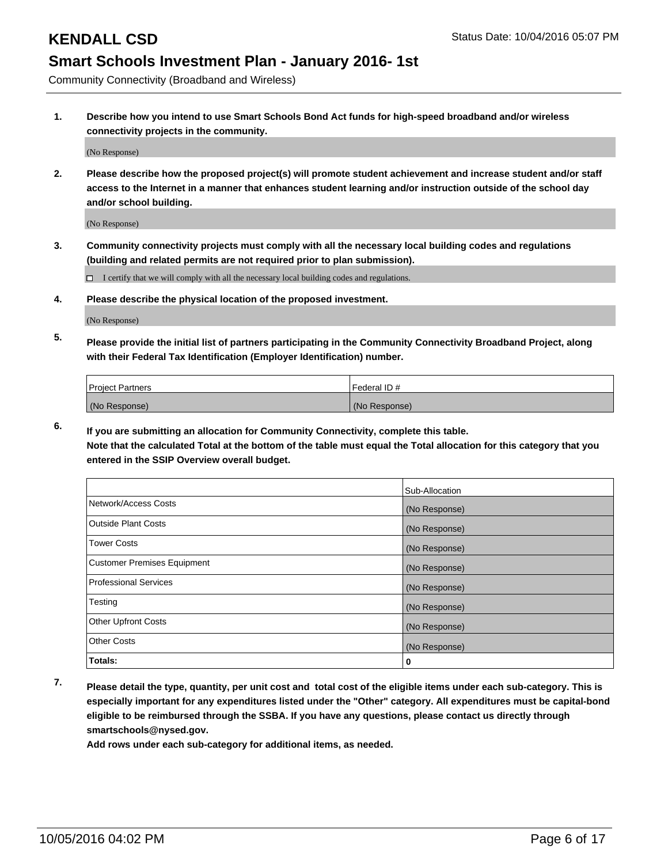Community Connectivity (Broadband and Wireless)

**1. Describe how you intend to use Smart Schools Bond Act funds for high-speed broadband and/or wireless connectivity projects in the community.**

(No Response)

**2. Please describe how the proposed project(s) will promote student achievement and increase student and/or staff access to the Internet in a manner that enhances student learning and/or instruction outside of the school day and/or school building.**

(No Response)

**3. Community connectivity projects must comply with all the necessary local building codes and regulations (building and related permits are not required prior to plan submission).**

 $\Box$  I certify that we will comply with all the necessary local building codes and regulations.

**4. Please describe the physical location of the proposed investment.**

(No Response)

**5. Please provide the initial list of partners participating in the Community Connectivity Broadband Project, along with their Federal Tax Identification (Employer Identification) number.**

| <b>Project Partners</b> | Federal ID#   |
|-------------------------|---------------|
| (No Response)           | (No Response) |

**6. If you are submitting an allocation for Community Connectivity, complete this table.**

**Note that the calculated Total at the bottom of the table must equal the Total allocation for this category that you entered in the SSIP Overview overall budget.**

|                             | Sub-Allocation |
|-----------------------------|----------------|
| Network/Access Costs        | (No Response)  |
| Outside Plant Costs         | (No Response)  |
| <b>Tower Costs</b>          | (No Response)  |
| Customer Premises Equipment | (No Response)  |
| Professional Services       | (No Response)  |
| Testing                     | (No Response)  |
| <b>Other Upfront Costs</b>  | (No Response)  |
| Other Costs                 | (No Response)  |
| Totals:                     | 0              |

**7. Please detail the type, quantity, per unit cost and total cost of the eligible items under each sub-category. This is especially important for any expenditures listed under the "Other" category. All expenditures must be capital-bond eligible to be reimbursed through the SSBA. If you have any questions, please contact us directly through smartschools@nysed.gov.**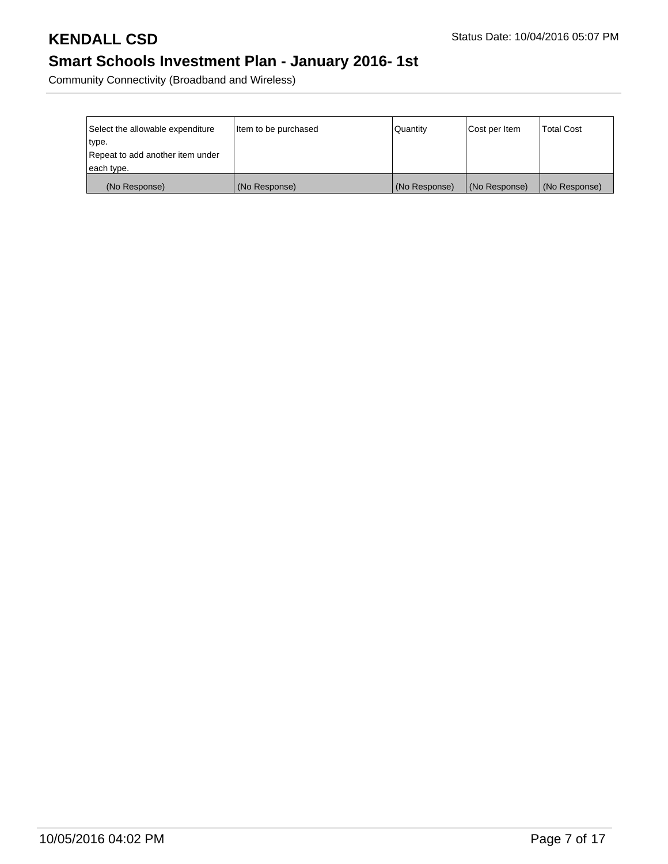Community Connectivity (Broadband and Wireless)

| Select the allowable expenditure | Item to be purchased | Quantity      | Cost per Item | <b>Total Cost</b> |
|----------------------------------|----------------------|---------------|---------------|-------------------|
| type.                            |                      |               |               |                   |
| Repeat to add another item under |                      |               |               |                   |
| each type.                       |                      |               |               |                   |
| (No Response)                    | (No Response)        | (No Response) | (No Response) | (No Response)     |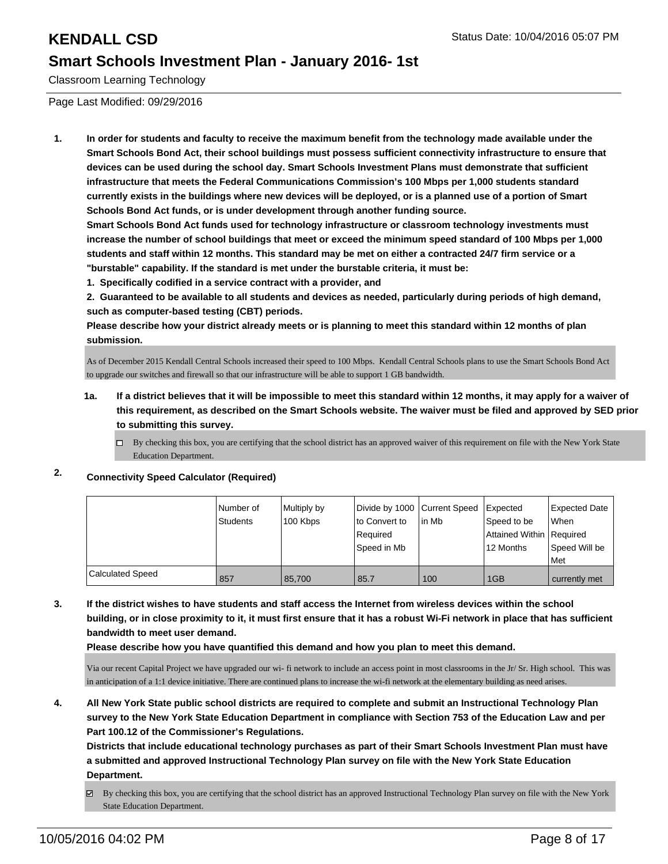Classroom Learning Technology

Page Last Modified: 09/29/2016

**1. In order for students and faculty to receive the maximum benefit from the technology made available under the Smart Schools Bond Act, their school buildings must possess sufficient connectivity infrastructure to ensure that devices can be used during the school day. Smart Schools Investment Plans must demonstrate that sufficient infrastructure that meets the Federal Communications Commission's 100 Mbps per 1,000 students standard currently exists in the buildings where new devices will be deployed, or is a planned use of a portion of Smart Schools Bond Act funds, or is under development through another funding source.**

**Smart Schools Bond Act funds used for technology infrastructure or classroom technology investments must increase the number of school buildings that meet or exceed the minimum speed standard of 100 Mbps per 1,000 students and staff within 12 months. This standard may be met on either a contracted 24/7 firm service or a "burstable" capability. If the standard is met under the burstable criteria, it must be:**

**1. Specifically codified in a service contract with a provider, and**

**2. Guaranteed to be available to all students and devices as needed, particularly during periods of high demand, such as computer-based testing (CBT) periods.**

**Please describe how your district already meets or is planning to meet this standard within 12 months of plan submission.**

As of December 2015 Kendall Central Schools increased their speed to 100 Mbps. Kendall Central Schools plans to use the Smart Schools Bond Act to upgrade our switches and firewall so that our infrastructure will be able to support 1 GB bandwidth.

- **1a. If a district believes that it will be impossible to meet this standard within 12 months, it may apply for a waiver of this requirement, as described on the Smart Schools website. The waiver must be filed and approved by SED prior to submitting this survey.**
	- $\Box$  By checking this box, you are certifying that the school district has an approved waiver of this requirement on file with the New York State Education Department.

### **2. Connectivity Speed Calculator (Required)**

|                         | Number of | Multiply by | Divide by 1000 Current Speed |        | <b>I</b> Expected        | <b>Expected Date</b> |
|-------------------------|-----------|-------------|------------------------------|--------|--------------------------|----------------------|
|                         | Students  | 100 Kbps    | Ito Convert to               | lin Mb | Speed to be              | <b>When</b>          |
|                         |           |             | Required                     |        | Attained Within Required |                      |
|                         |           |             | Speed in Mb                  |        | 12 Months                | Speed Will be        |
|                         |           |             |                              |        |                          | l Met                |
| <b>Calculated Speed</b> | 857       | 85,700      | 85.7                         | 100    | 1GB                      | currently met        |

**3. If the district wishes to have students and staff access the Internet from wireless devices within the school building, or in close proximity to it, it must first ensure that it has a robust Wi-Fi network in place that has sufficient bandwidth to meet user demand.**

**Please describe how you have quantified this demand and how you plan to meet this demand.**

Via our recent Capital Project we have upgraded our wi- fi network to include an access point in most classrooms in the Jr/ Sr. High school. This was in anticipation of a 1:1 device initiative. There are continued plans to increase the wi-fi network at the elementary building as need arises.

**4. All New York State public school districts are required to complete and submit an Instructional Technology Plan survey to the New York State Education Department in compliance with Section 753 of the Education Law and per Part 100.12 of the Commissioner's Regulations.**

**Districts that include educational technology purchases as part of their Smart Schools Investment Plan must have a submitted and approved Instructional Technology Plan survey on file with the New York State Education Department.**

By checking this box, you are certifying that the school district has an approved Instructional Technology Plan survey on file with the New York State Education Department.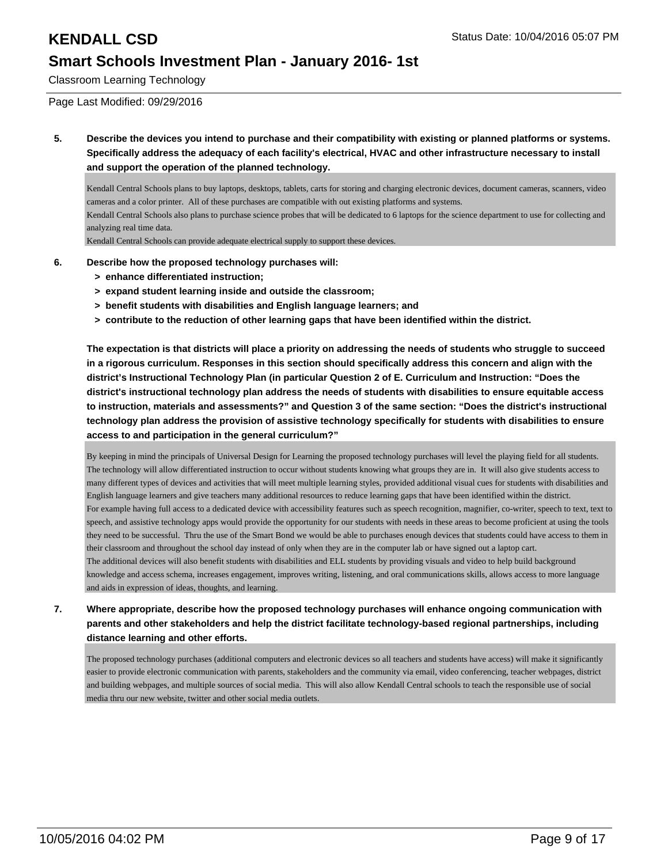Classroom Learning Technology

Page Last Modified: 09/29/2016

**5. Describe the devices you intend to purchase and their compatibility with existing or planned platforms or systems. Specifically address the adequacy of each facility's electrical, HVAC and other infrastructure necessary to install and support the operation of the planned technology.**

Kendall Central Schools plans to buy laptops, desktops, tablets, carts for storing and charging electronic devices, document cameras, scanners, video cameras and a color printer. All of these purchases are compatible with out existing platforms and systems.

Kendall Central Schools also plans to purchase science probes that will be dedicated to 6 laptops for the science department to use for collecting and analyzing real time data.

Kendall Central Schools can provide adequate electrical supply to support these devices.

- **6. Describe how the proposed technology purchases will:**
	- **> enhance differentiated instruction;**
	- **> expand student learning inside and outside the classroom;**
	- **> benefit students with disabilities and English language learners; and**
	- **> contribute to the reduction of other learning gaps that have been identified within the district.**

**The expectation is that districts will place a priority on addressing the needs of students who struggle to succeed in a rigorous curriculum. Responses in this section should specifically address this concern and align with the district's Instructional Technology Plan (in particular Question 2 of E. Curriculum and Instruction: "Does the district's instructional technology plan address the needs of students with disabilities to ensure equitable access to instruction, materials and assessments?" and Question 3 of the same section: "Does the district's instructional technology plan address the provision of assistive technology specifically for students with disabilities to ensure access to and participation in the general curriculum?"**

By keeping in mind the principals of Universal Design for Learning the proposed technology purchases will level the playing field for all students. The technology will allow differentiated instruction to occur without students knowing what groups they are in. It will also give students access to many different types of devices and activities that will meet multiple learning styles, provided additional visual cues for students with disabilities and English language learners and give teachers many additional resources to reduce learning gaps that have been identified within the district. For example having full access to a dedicated device with accessibility features such as speech recognition, magnifier, co-writer, speech to text, text to speech, and assistive technology apps would provide the opportunity for our students with needs in these areas to become proficient at using the tools they need to be successful. Thru the use of the Smart Bond we would be able to purchases enough devices that students could have access to them in their classroom and throughout the school day instead of only when they are in the computer lab or have signed out a laptop cart. The additional devices will also benefit students with disabilities and ELL students by providing visuals and video to help build background knowledge and access schema, increases engagement, improves writing, listening, and oral communications skills, allows access to more language and aids in expression of ideas, thoughts, and learning.

### **7. Where appropriate, describe how the proposed technology purchases will enhance ongoing communication with parents and other stakeholders and help the district facilitate technology-based regional partnerships, including distance learning and other efforts.**

The proposed technology purchases (additional computers and electronic devices so all teachers and students have access) will make it significantly easier to provide electronic communication with parents, stakeholders and the community via email, video conferencing, teacher webpages, district and building webpages, and multiple sources of social media. This will also allow Kendall Central schools to teach the responsible use of social media thru our new website, twitter and other social media outlets.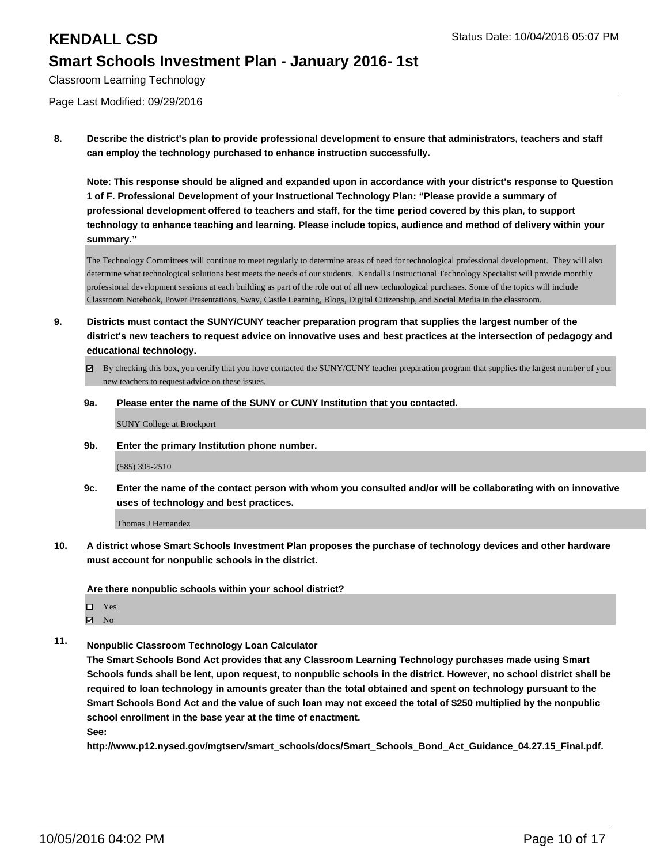Classroom Learning Technology

Page Last Modified: 09/29/2016

**8. Describe the district's plan to provide professional development to ensure that administrators, teachers and staff can employ the technology purchased to enhance instruction successfully.**

**Note: This response should be aligned and expanded upon in accordance with your district's response to Question 1 of F. Professional Development of your Instructional Technology Plan: "Please provide a summary of professional development offered to teachers and staff, for the time period covered by this plan, to support technology to enhance teaching and learning. Please include topics, audience and method of delivery within your summary."**

The Technology Committees will continue to meet regularly to determine areas of need for technological professional development. They will also determine what technological solutions best meets the needs of our students. Kendall's Instructional Technology Specialist will provide monthly professional development sessions at each building as part of the role out of all new technological purchases. Some of the topics will include Classroom Notebook, Power Presentations, Sway, Castle Learning, Blogs, Digital Citizenship, and Social Media in the classroom.

- **9. Districts must contact the SUNY/CUNY teacher preparation program that supplies the largest number of the district's new teachers to request advice on innovative uses and best practices at the intersection of pedagogy and educational technology.**
	- $\boxtimes$  By checking this box, you certify that you have contacted the SUNY/CUNY teacher preparation program that supplies the largest number of your new teachers to request advice on these issues.
	- **9a. Please enter the name of the SUNY or CUNY Institution that you contacted.**

SUNY College at Brockport

**9b. Enter the primary Institution phone number.**

(585) 395-2510

**9c. Enter the name of the contact person with whom you consulted and/or will be collaborating with on innovative uses of technology and best practices.**

Thomas J Hernandez

**10. A district whose Smart Schools Investment Plan proposes the purchase of technology devices and other hardware must account for nonpublic schools in the district.**

**Are there nonpublic schools within your school district?**

- □ Yes
- $\boxtimes$  No
- **11. Nonpublic Classroom Technology Loan Calculator**

**The Smart Schools Bond Act provides that any Classroom Learning Technology purchases made using Smart Schools funds shall be lent, upon request, to nonpublic schools in the district. However, no school district shall be required to loan technology in amounts greater than the total obtained and spent on technology pursuant to the Smart Schools Bond Act and the value of such loan may not exceed the total of \$250 multiplied by the nonpublic school enrollment in the base year at the time of enactment.**

**See:**

**http://www.p12.nysed.gov/mgtserv/smart\_schools/docs/Smart\_Schools\_Bond\_Act\_Guidance\_04.27.15\_Final.pdf.**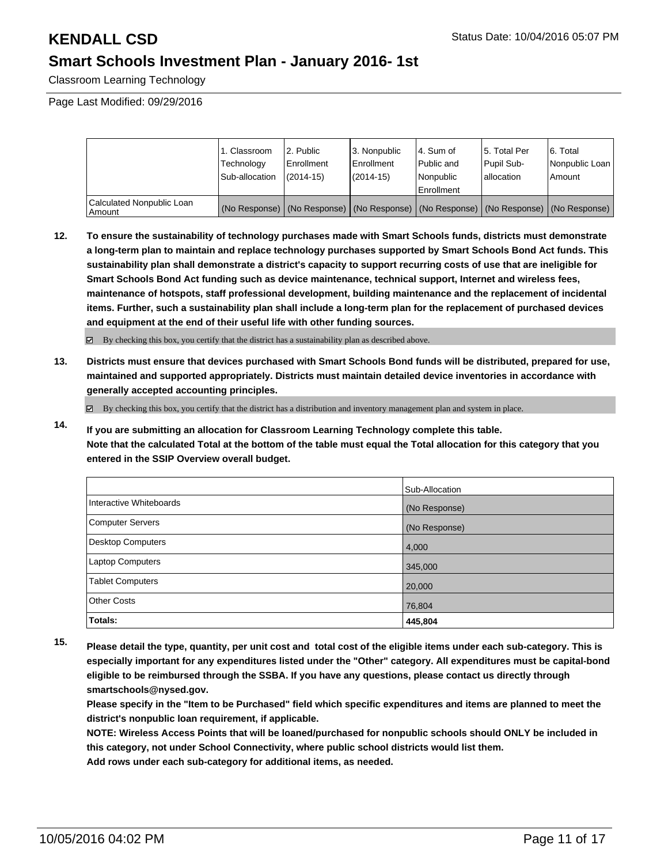Classroom Learning Technology

Page Last Modified: 09/29/2016

|                                     | 1. Classroom<br>Technology<br>Sub-allocation | 2. Public<br><b>Enrollment</b><br>$(2014 - 15)$ | l 3. Nonpublic<br><b>Enrollment</b><br>(2014-15) | 4. Sum of<br>l Public and<br>Nonpublic<br>Enrollment | 15. Total Per<br>Pupil Sub-<br>Iallocation | 6. Total<br>Nonpublic Loan<br>Amount                                                          |
|-------------------------------------|----------------------------------------------|-------------------------------------------------|--------------------------------------------------|------------------------------------------------------|--------------------------------------------|-----------------------------------------------------------------------------------------------|
| Calculated Nonpublic Loan<br>Amount |                                              |                                                 |                                                  |                                                      |                                            | (No Response)   (No Response)   (No Response)   (No Response)   (No Response)   (No Response) |

**12. To ensure the sustainability of technology purchases made with Smart Schools funds, districts must demonstrate a long-term plan to maintain and replace technology purchases supported by Smart Schools Bond Act funds. This sustainability plan shall demonstrate a district's capacity to support recurring costs of use that are ineligible for Smart Schools Bond Act funding such as device maintenance, technical support, Internet and wireless fees, maintenance of hotspots, staff professional development, building maintenance and the replacement of incidental items. Further, such a sustainability plan shall include a long-term plan for the replacement of purchased devices and equipment at the end of their useful life with other funding sources.**

By checking this box, you certify that the district has a sustainability plan as described above.

**13. Districts must ensure that devices purchased with Smart Schools Bond funds will be distributed, prepared for use, maintained and supported appropriately. Districts must maintain detailed device inventories in accordance with generally accepted accounting principles.**

By checking this box, you certify that the district has a distribution and inventory management plan and system in place.

**14. If you are submitting an allocation for Classroom Learning Technology complete this table. Note that the calculated Total at the bottom of the table must equal the Total allocation for this category that you entered in the SSIP Overview overall budget.**

|                         | Sub-Allocation |
|-------------------------|----------------|
| Interactive Whiteboards | (No Response)  |
| Computer Servers        | (No Response)  |
| Desktop Computers       | 4,000          |
| <b>Laptop Computers</b> | 345,000        |
| <b>Tablet Computers</b> | 20,000         |
| Other Costs             | 76,804         |
| Totals:                 | 445,804        |

**15. Please detail the type, quantity, per unit cost and total cost of the eligible items under each sub-category. This is especially important for any expenditures listed under the "Other" category. All expenditures must be capital-bond eligible to be reimbursed through the SSBA. If you have any questions, please contact us directly through smartschools@nysed.gov.**

**Please specify in the "Item to be Purchased" field which specific expenditures and items are planned to meet the district's nonpublic loan requirement, if applicable.**

**NOTE: Wireless Access Points that will be loaned/purchased for nonpublic schools should ONLY be included in this category, not under School Connectivity, where public school districts would list them. Add rows under each sub-category for additional items, as needed.**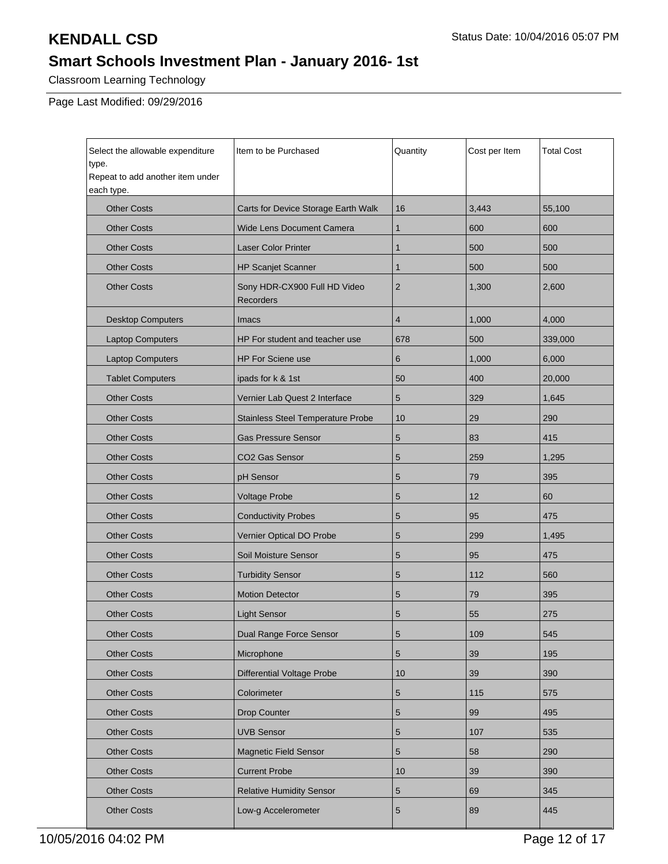Classroom Learning Technology

Page Last Modified: 09/29/2016

| Select the allowable expenditure<br>type.<br>Repeat to add another item under | Item to be Purchased                             | Quantity       | Cost per Item | <b>Total Cost</b> |
|-------------------------------------------------------------------------------|--------------------------------------------------|----------------|---------------|-------------------|
| each type.<br><b>Other Costs</b>                                              | Carts for Device Storage Earth Walk              | 16             | 3,443         | 55,100            |
| <b>Other Costs</b>                                                            | <b>Wide Lens Document Camera</b>                 | $\mathbf{1}$   | 600           | 600               |
| <b>Other Costs</b>                                                            | <b>Laser Color Printer</b>                       | $\mathbf{1}$   | 500           | 500               |
| <b>Other Costs</b>                                                            | <b>HP Scanjet Scanner</b>                        | $\mathbf{1}$   | 500           | 500               |
| <b>Other Costs</b>                                                            | Sony HDR-CX900 Full HD Video<br><b>Recorders</b> | $\overline{2}$ | 1,300         | 2,600             |
| <b>Desktop Computers</b>                                                      | Imacs                                            | $\overline{4}$ | 1,000         | 4,000             |
| <b>Laptop Computers</b>                                                       | HP For student and teacher use                   | 678            | 500           | 339,000           |
| <b>Laptop Computers</b>                                                       | <b>HP For Sciene use</b>                         | 6              | 1,000         | 6,000             |
| <b>Tablet Computers</b>                                                       | ipads for k & 1st                                | 50             | 400           | 20,000            |
| <b>Other Costs</b>                                                            | Vernier Lab Quest 2 Interface                    | 5              | 329           | 1,645             |
| <b>Other Costs</b>                                                            | <b>Stainless Steel Temperature Probe</b>         | 10             | 29            | 290               |
| <b>Other Costs</b>                                                            | <b>Gas Pressure Sensor</b>                       | 5              | 83            | 415               |
| <b>Other Costs</b>                                                            | CO2 Gas Sensor                                   | 5              | 259           | 1,295             |
| <b>Other Costs</b>                                                            | pH Sensor                                        | 5              | 79            | 395               |
| <b>Other Costs</b>                                                            | <b>Voltage Probe</b>                             | 5              | 12            | 60                |
| <b>Other Costs</b>                                                            | <b>Conductivity Probes</b>                       | 5              | 95            | 475               |
| <b>Other Costs</b>                                                            | Vernier Optical DO Probe                         | 5              | 299           | 1,495             |
| <b>Other Costs</b>                                                            | Soil Moisture Sensor                             | 5              | 95            | 475               |
| <b>Other Costs</b>                                                            | <b>Turbidity Sensor</b>                          | 5              | 112           | 560               |
| <b>Other Costs</b>                                                            | <b>Motion Detector</b>                           | 5              | 79            | 395               |
| <b>Other Costs</b>                                                            | <b>Light Sensor</b>                              | 5              | 55            | 275               |
| <b>Other Costs</b>                                                            | Dual Range Force Sensor                          | 5              | 109           | 545               |
| <b>Other Costs</b>                                                            | Microphone                                       | $\sqrt{5}$     | 39            | 195               |
| <b>Other Costs</b>                                                            | <b>Differential Voltage Probe</b>                | 10             | 39            | 390               |
| <b>Other Costs</b>                                                            | Colorimeter                                      | $\sqrt{5}$     | 115           | 575               |
| <b>Other Costs</b>                                                            | Drop Counter                                     | $\sqrt{5}$     | 99            | 495               |
| <b>Other Costs</b>                                                            | <b>UVB Sensor</b>                                | $\sqrt{5}$     | 107           | 535               |
| <b>Other Costs</b>                                                            | <b>Magnetic Field Sensor</b>                     | $\sqrt{5}$     | 58            | 290               |
| <b>Other Costs</b>                                                            | <b>Current Probe</b>                             | 10             | 39            | 390               |
| <b>Other Costs</b>                                                            | <b>Relative Humidity Sensor</b>                  | $\sqrt{5}$     | 69            | 345               |
| <b>Other Costs</b>                                                            | Low-g Accelerometer                              | $\sqrt{5}$     | 89            | 445               |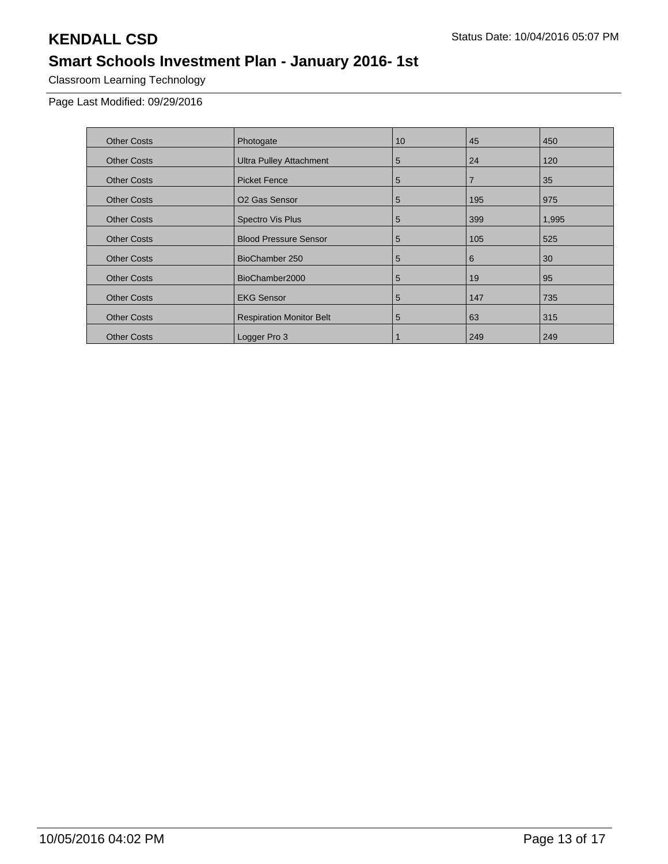Classroom Learning Technology

Page Last Modified: 09/29/2016

| <b>Other Costs</b> | Photogate                       | 10 | 45             | 450   |
|--------------------|---------------------------------|----|----------------|-------|
| <b>Other Costs</b> | <b>Ultra Pulley Attachment</b>  | 5  | 24             | 120   |
| <b>Other Costs</b> | <b>Picket Fence</b>             | 5  | $\overline{7}$ | 35    |
| <b>Other Costs</b> | O <sub>2</sub> Gas Sensor       | 5  | 195            | 975   |
| <b>Other Costs</b> | Spectro Vis Plus                | 5  | 399            | 1,995 |
| <b>Other Costs</b> | <b>Blood Pressure Sensor</b>    | 5  | 105            | 525   |
| <b>Other Costs</b> | BioChamber 250                  | 5  | 6              | 30    |
| <b>Other Costs</b> | BioChamber2000                  | 5  | 19             | 95    |
| <b>Other Costs</b> | <b>EKG Sensor</b>               | 5  | 147            | 735   |
| <b>Other Costs</b> | <b>Respiration Monitor Belt</b> | 5  | 63             | 315   |
| <b>Other Costs</b> | Logger Pro 3                    |    | 249            | 249   |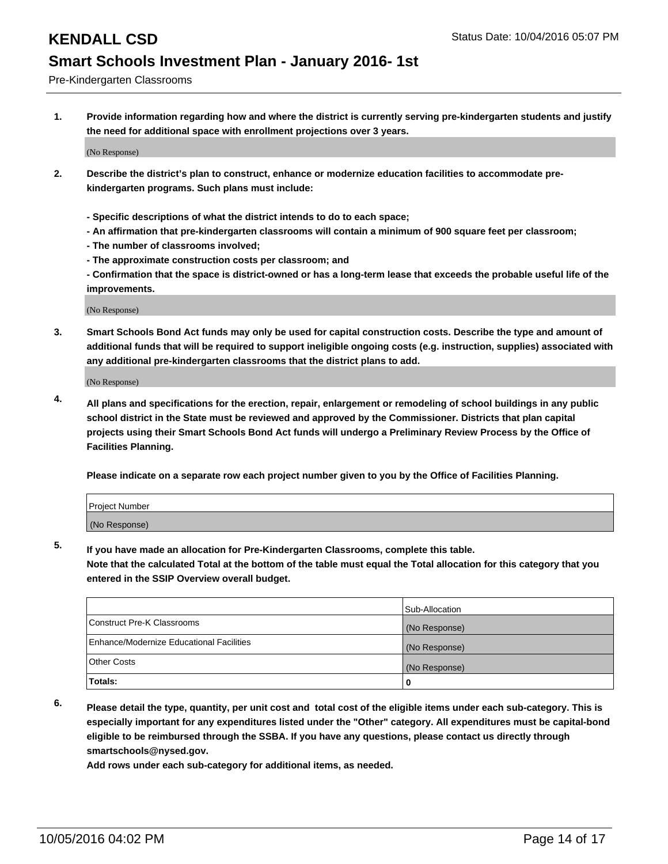Pre-Kindergarten Classrooms

**1. Provide information regarding how and where the district is currently serving pre-kindergarten students and justify the need for additional space with enrollment projections over 3 years.**

(No Response)

- **2. Describe the district's plan to construct, enhance or modernize education facilities to accommodate prekindergarten programs. Such plans must include:**
	- **Specific descriptions of what the district intends to do to each space;**
	- **An affirmation that pre-kindergarten classrooms will contain a minimum of 900 square feet per classroom;**
	- **The number of classrooms involved;**
	- **The approximate construction costs per classroom; and**
	- **Confirmation that the space is district-owned or has a long-term lease that exceeds the probable useful life of the improvements.**

(No Response)

**3. Smart Schools Bond Act funds may only be used for capital construction costs. Describe the type and amount of additional funds that will be required to support ineligible ongoing costs (e.g. instruction, supplies) associated with any additional pre-kindergarten classrooms that the district plans to add.**

(No Response)

**4. All plans and specifications for the erection, repair, enlargement or remodeling of school buildings in any public school district in the State must be reviewed and approved by the Commissioner. Districts that plan capital projects using their Smart Schools Bond Act funds will undergo a Preliminary Review Process by the Office of Facilities Planning.**

**Please indicate on a separate row each project number given to you by the Office of Facilities Planning.**

| <b>Project Number</b> |  |
|-----------------------|--|
| (No Response)         |  |

**5. If you have made an allocation for Pre-Kindergarten Classrooms, complete this table.**

**Note that the calculated Total at the bottom of the table must equal the Total allocation for this category that you entered in the SSIP Overview overall budget.**

|                                          | Sub-Allocation |
|------------------------------------------|----------------|
| Construct Pre-K Classrooms               | (No Response)  |
| Enhance/Modernize Educational Facilities | (No Response)  |
| Other Costs                              | (No Response)  |
| Totals:                                  | 0              |

**6. Please detail the type, quantity, per unit cost and total cost of the eligible items under each sub-category. This is especially important for any expenditures listed under the "Other" category. All expenditures must be capital-bond eligible to be reimbursed through the SSBA. If you have any questions, please contact us directly through smartschools@nysed.gov.**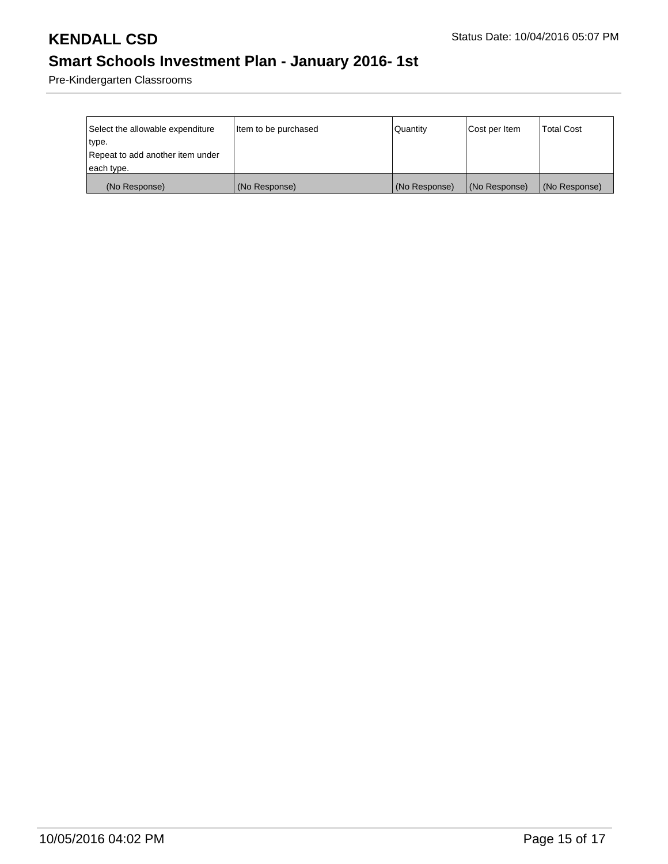Pre-Kindergarten Classrooms

| Select the allowable expenditure | litem to be purchased | Quantity      | Cost per Item | <b>Total Cost</b> |
|----------------------------------|-----------------------|---------------|---------------|-------------------|
| type.                            |                       |               |               |                   |
| Repeat to add another item under |                       |               |               |                   |
| each type.                       |                       |               |               |                   |
| (No Response)                    | (No Response)         | (No Response) | (No Response) | (No Response)     |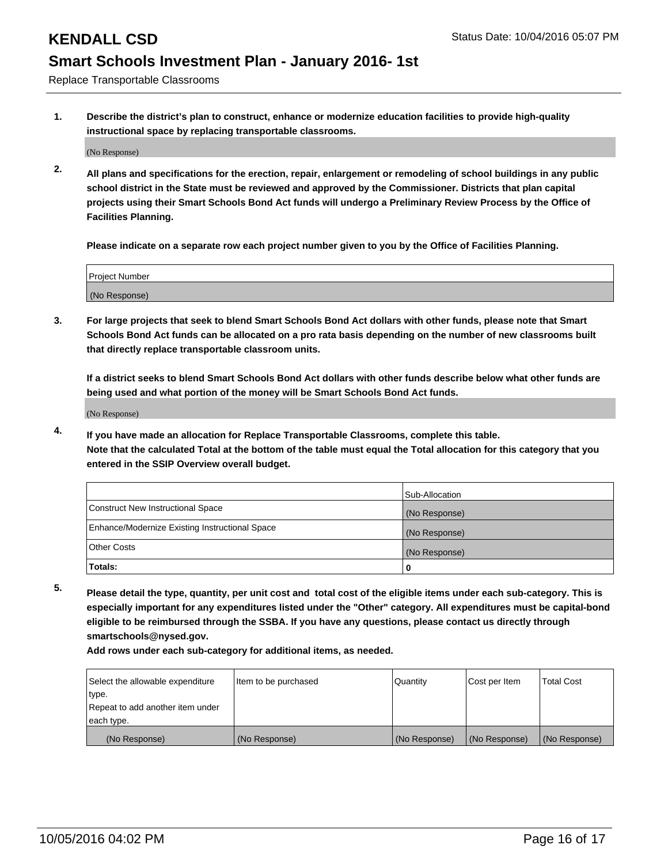Replace Transportable Classrooms

**1. Describe the district's plan to construct, enhance or modernize education facilities to provide high-quality instructional space by replacing transportable classrooms.**

(No Response)

**2. All plans and specifications for the erection, repair, enlargement or remodeling of school buildings in any public school district in the State must be reviewed and approved by the Commissioner. Districts that plan capital projects using their Smart Schools Bond Act funds will undergo a Preliminary Review Process by the Office of Facilities Planning.**

**Please indicate on a separate row each project number given to you by the Office of Facilities Planning.**

| Project Number |  |
|----------------|--|
|                |  |
|                |  |
|                |  |
|                |  |
| (No Response)  |  |
|                |  |
|                |  |
|                |  |

**3. For large projects that seek to blend Smart Schools Bond Act dollars with other funds, please note that Smart Schools Bond Act funds can be allocated on a pro rata basis depending on the number of new classrooms built that directly replace transportable classroom units.**

**If a district seeks to blend Smart Schools Bond Act dollars with other funds describe below what other funds are being used and what portion of the money will be Smart Schools Bond Act funds.**

(No Response)

**4. If you have made an allocation for Replace Transportable Classrooms, complete this table. Note that the calculated Total at the bottom of the table must equal the Total allocation for this category that you entered in the SSIP Overview overall budget.**

|                                                | Sub-Allocation |
|------------------------------------------------|----------------|
| Construct New Instructional Space              | (No Response)  |
| Enhance/Modernize Existing Instructional Space | (No Response)  |
| Other Costs                                    | (No Response)  |
| Totals:                                        | 0              |

**5. Please detail the type, quantity, per unit cost and total cost of the eligible items under each sub-category. This is especially important for any expenditures listed under the "Other" category. All expenditures must be capital-bond eligible to be reimbursed through the SSBA. If you have any questions, please contact us directly through smartschools@nysed.gov.**

| Select the allowable expenditure | Item to be purchased | Quantity      | Cost per Item | <b>Total Cost</b> |
|----------------------------------|----------------------|---------------|---------------|-------------------|
| type.                            |                      |               |               |                   |
| Repeat to add another item under |                      |               |               |                   |
| each type.                       |                      |               |               |                   |
| (No Response)                    | (No Response)        | (No Response) | (No Response) | (No Response)     |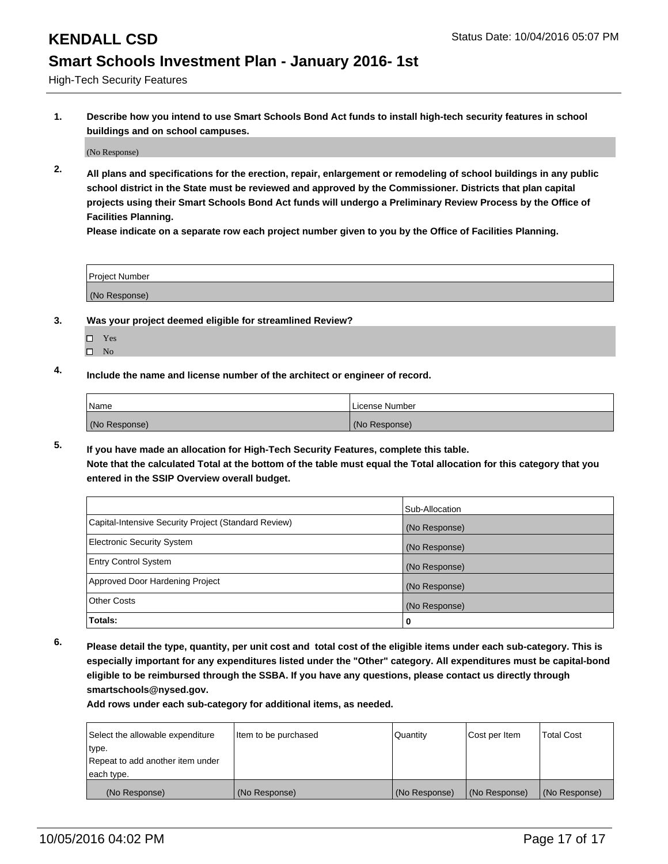High-Tech Security Features

**1. Describe how you intend to use Smart Schools Bond Act funds to install high-tech security features in school buildings and on school campuses.**

(No Response)

**2. All plans and specifications for the erection, repair, enlargement or remodeling of school buildings in any public school district in the State must be reviewed and approved by the Commissioner. Districts that plan capital projects using their Smart Schools Bond Act funds will undergo a Preliminary Review Process by the Office of Facilities Planning.** 

**Please indicate on a separate row each project number given to you by the Office of Facilities Planning.**

| Project Number |  |
|----------------|--|
| (No Response)  |  |

### **3. Was your project deemed eligible for streamlined Review?**

- Yes
- $\square$  No

### **4. Include the name and license number of the architect or engineer of record.**

| <b>Name</b>   | License Number |
|---------------|----------------|
| (No Response) | (No Response)  |

**5. If you have made an allocation for High-Tech Security Features, complete this table. Note that the calculated Total at the bottom of the table must equal the Total allocation for this category that you**

**entered in the SSIP Overview overall budget.**

|                                                      | Sub-Allocation |
|------------------------------------------------------|----------------|
| Capital-Intensive Security Project (Standard Review) | (No Response)  |
| <b>Electronic Security System</b>                    | (No Response)  |
| <b>Entry Control System</b>                          | (No Response)  |
| Approved Door Hardening Project                      | (No Response)  |
| <b>Other Costs</b>                                   | (No Response)  |
| Totals:                                              | 0              |

**6. Please detail the type, quantity, per unit cost and total cost of the eligible items under each sub-category. This is especially important for any expenditures listed under the "Other" category. All expenditures must be capital-bond eligible to be reimbursed through the SSBA. If you have any questions, please contact us directly through smartschools@nysed.gov.**

| Select the allowable expenditure | Item to be purchased | Quantity      | Cost per Item | <b>Total Cost</b> |
|----------------------------------|----------------------|---------------|---------------|-------------------|
| type.                            |                      |               |               |                   |
| Repeat to add another item under |                      |               |               |                   |
| each type.                       |                      |               |               |                   |
| (No Response)                    | (No Response)        | (No Response) | (No Response) | (No Response)     |